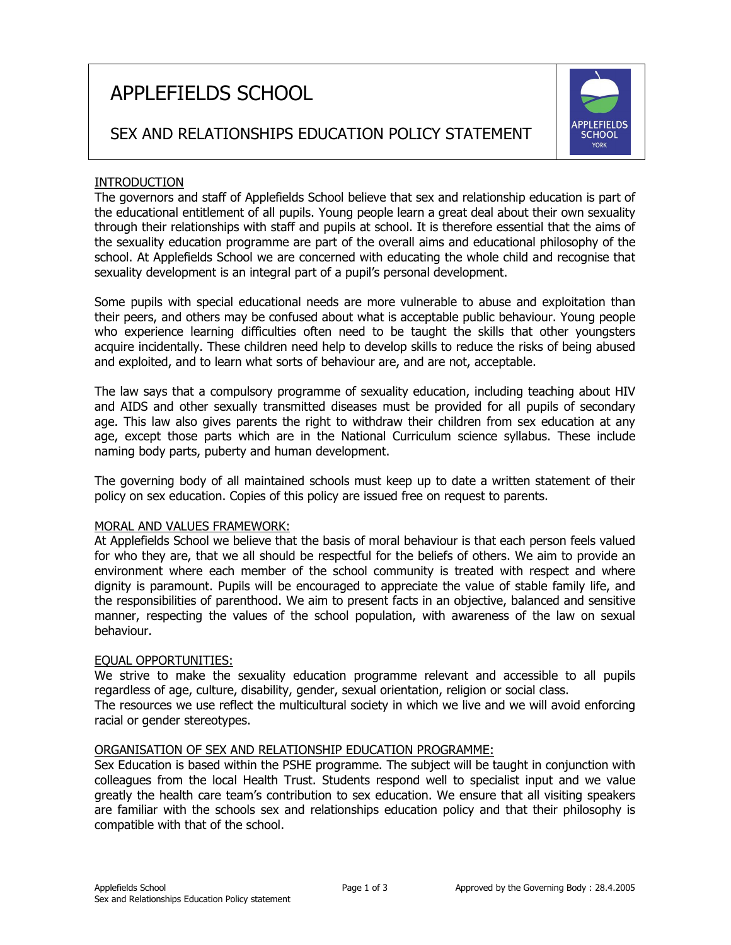# APPLEFIELDS SCHOOL



# SEX AND RELATIONSHIPS EDUCATION POLICY STATEMENT

# INTRODUCTION

The governors and staff of Applefields School believe that sex and relationship education is part of the educational entitlement of all pupils. Young people learn a great deal about their own sexuality through their relationships with staff and pupils at school. It is therefore essential that the aims of the sexuality education programme are part of the overall aims and educational philosophy of the school. At Applefields School we are concerned with educating the whole child and recognise that sexuality development is an integral part of a pupil's personal development.

Some pupils with special educational needs are more vulnerable to abuse and exploitation than their peers, and others may be confused about what is acceptable public behaviour. Young people who experience learning difficulties often need to be taught the skills that other youngsters acquire incidentally. These children need help to develop skills to reduce the risks of being abused and exploited, and to learn what sorts of behaviour are, and are not, acceptable.

The law says that a compulsory programme of sexuality education, including teaching about HIV and AIDS and other sexually transmitted diseases must be provided for all pupils of secondary age. This law also gives parents the right to withdraw their children from sex education at any age, except those parts which are in the National Curriculum science syllabus. These include naming body parts, puberty and human development.

The governing body of all maintained schools must keep up to date a written statement of their policy on sex education. Copies of this policy are issued free on request to parents.

#### MORAL AND VALUES FRAMEWORK:

At Applefields School we believe that the basis of moral behaviour is that each person feels valued for who they are, that we all should be respectful for the beliefs of others. We aim to provide an environment where each member of the school community is treated with respect and where dignity is paramount. Pupils will be encouraged to appreciate the value of stable family life, and the responsibilities of parenthood. We aim to present facts in an objective, balanced and sensitive manner, respecting the values of the school population, with awareness of the law on sexual behaviour.

#### EQUAL OPPORTUNITIES:

We strive to make the sexuality education programme relevant and accessible to all pupils regardless of age, culture, disability, gender, sexual orientation, religion or social class.

The resources we use reflect the multicultural society in which we live and we will avoid enforcing racial or gender stereotypes.

# ORGANISATION OF SEX AND RELATIONSHIP EDUCATION PROGRAMME:

Sex Education is based within the PSHE programme. The subject will be taught in conjunction with colleagues from the local Health Trust. Students respond well to specialist input and we value greatly the health care team's contribution to sex education. We ensure that all visiting speakers are familiar with the schools sex and relationships education policy and that their philosophy is compatible with that of the school.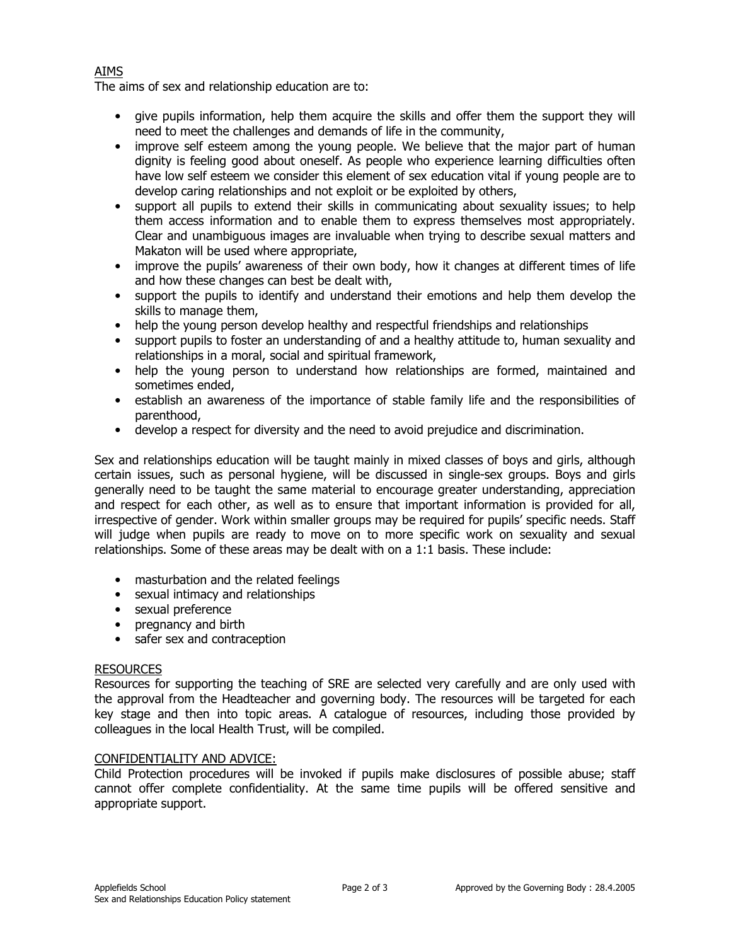# AIMS

The aims of sex and relationship education are to:

- give pupils information, help them acquire the skills and offer them the support they will need to meet the challenges and demands of life in the community,
- improve self esteem among the young people. We believe that the major part of human dignity is feeling good about oneself. As people who experience learning difficulties often have low self esteem we consider this element of sex education vital if young people are to develop caring relationships and not exploit or be exploited by others,
- support all pupils to extend their skills in communicating about sexuality issues; to help them access information and to enable them to express themselves most appropriately. Clear and unambiguous images are invaluable when trying to describe sexual matters and Makaton will be used where appropriate,
- improve the pupils' awareness of their own body, how it changes at different times of life and how these changes can best be dealt with,
- support the pupils to identify and understand their emotions and help them develop the skills to manage them,
- help the young person develop healthy and respectful friendships and relationships
- support pupils to foster an understanding of and a healthy attitude to, human sexuality and relationships in a moral, social and spiritual framework,
- help the young person to understand how relationships are formed, maintained and sometimes ended,
- establish an awareness of the importance of stable family life and the responsibilities of parenthood,
- develop a respect for diversity and the need to avoid prejudice and discrimination.

Sex and relationships education will be taught mainly in mixed classes of boys and girls, although certain issues, such as personal hygiene, will be discussed in single-sex groups. Boys and girls generally need to be taught the same material to encourage greater understanding, appreciation and respect for each other, as well as to ensure that important information is provided for all, irrespective of gender. Work within smaller groups may be required for pupils' specific needs. Staff will judge when pupils are ready to move on to more specific work on sexuality and sexual relationships. Some of these areas may be dealt with on a 1:1 basis. These include:

- masturbation and the related feelings
- sexual intimacy and relationships
- sexual preference
- pregnancy and birth
- safer sex and contraception

# RESOURCES

Resources for supporting the teaching of SRE are selected very carefully and are only used with the approval from the Headteacher and governing body. The resources will be targeted for each key stage and then into topic areas. A catalogue of resources, including those provided by colleagues in the local Health Trust, will be compiled.

# CONFIDENTIALITY AND ADVICE:

Child Protection procedures will be invoked if pupils make disclosures of possible abuse; staff cannot offer complete confidentiality. At the same time pupils will be offered sensitive and appropriate support.